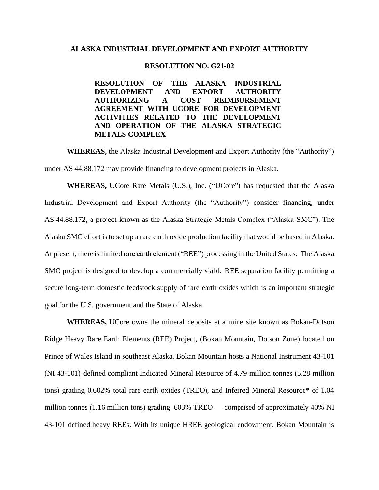## **ALASKA INDUSTRIAL DEVELOPMENT AND EXPORT AUTHORITY**

## **RESOLUTION NO. G21-02**

**RESOLUTION OF THE ALASKA INDUSTRIAL DEVELOPMENT AND EXPORT AUTHORITY AUTHORIZING A COST REIMBURSEMENT AGREEMENT WITH UCORE FOR DEVELOPMENT ACTIVITIES RELATED TO THE DEVELOPMENT AND OPERATION OF THE ALASKA STRATEGIC METALS COMPLEX**

**WHEREAS,** the Alaska Industrial Development and Export Authority (the "Authority") under AS 44.88.172 may provide financing to development projects in Alaska.

**WHEREAS,** UCore Rare Metals (U.S.), Inc. ("UCore") has requested that the Alaska Industrial Development and Export Authority (the "Authority") consider financing, under AS 44.88.172, a project known as the Alaska Strategic Metals Complex ("Alaska SMC"). The Alaska SMC effort is to set up a rare earth oxide production facility that would be based in Alaska. At present, there is limited rare earth element ("REE") processing in the United States. The Alaska SMC project is designed to develop a commercially viable REE separation facility permitting a secure long-term domestic feedstock supply of rare earth oxides which is an important strategic goal for the U.S. government and the State of Alaska.

**WHEREAS,** UCore owns the mineral deposits at a mine site known as Bokan-Dotson Ridge Heavy Rare Earth Elements (REE) Project, (Bokan Mountain, Dotson Zone) located on Prince of Wales Island in southeast Alaska. Bokan Mountain hosts a National Instrument 43-101 (NI 43-101) defined compliant Indicated Mineral Resource of 4.79 million tonnes (5.28 million tons) grading 0.602% total rare earth oxides (TREO), and Inferred Mineral Resource\* of 1.04 million tonnes (1.16 million tons) grading .603% TREO — comprised of approximately 40% NI 43-101 defined heavy REEs. With its unique HREE geological endowment, Bokan Mountain is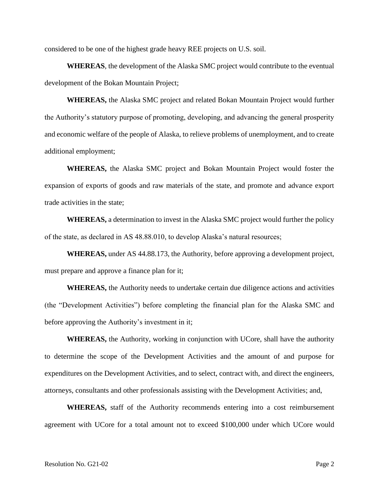considered to be one of the highest grade heavy REE projects on U.S. soil.

**WHEREAS**, the development of the Alaska SMC project would contribute to the eventual development of the Bokan Mountain Project;

**WHEREAS,** the Alaska SMC project and related Bokan Mountain Project would further the Authority's statutory purpose of promoting, developing, and advancing the general prosperity and economic welfare of the people of Alaska, to relieve problems of unemployment, and to create additional employment;

**WHEREAS,** the Alaska SMC project and Bokan Mountain Project would foster the expansion of exports of goods and raw materials of the state, and promote and advance export trade activities in the state;

**WHEREAS,** a determination to invest in the Alaska SMC project would further the policy of the state, as declared in AS 48.88.010, to develop Alaska's natural resources;

**WHEREAS,** under AS 44.88.173, the Authority, before approving a development project, must prepare and approve a finance plan for it;

**WHEREAS,** the Authority needs to undertake certain due diligence actions and activities (the "Development Activities") before completing the financial plan for the Alaska SMC and before approving the Authority's investment in it;

**WHEREAS,** the Authority, working in conjunction with UCore, shall have the authority to determine the scope of the Development Activities and the amount of and purpose for expenditures on the Development Activities, and to select, contract with, and direct the engineers, attorneys, consultants and other professionals assisting with the Development Activities; and,

**WHEREAS,** staff of the Authority recommends entering into a cost reimbursement agreement with UCore for a total amount not to exceed \$100,000 under which UCore would